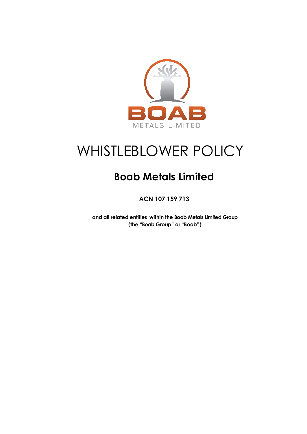

# WHISTLEBLOWER POLICY

## **Boab Metals Limited**

**ACN 107 159 713**

**and all related entities within the Boab Metals Limited Group (the "Boab Group" or "Boab")**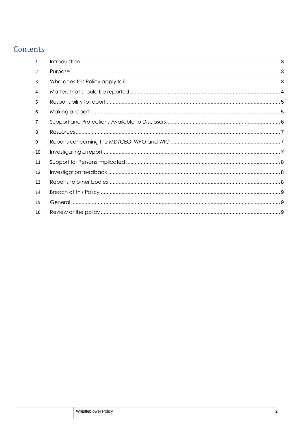### Contents

| $\mathbf{1}$   |  |
|----------------|--|
| $\overline{2}$ |  |
| 3              |  |
| 4              |  |
| 5              |  |
| 6              |  |
| 7              |  |
| 8              |  |
| 9              |  |
| 10             |  |
| 11             |  |
| 12             |  |
| 13             |  |
| 14             |  |
| 15             |  |
| 16             |  |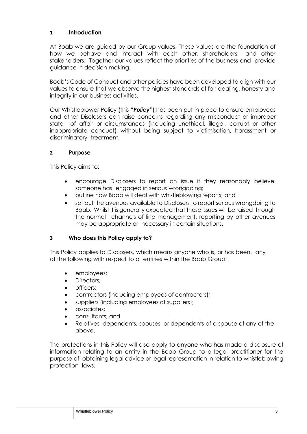#### <span id="page-2-0"></span>**1 Introduction**

At Boab we are guided by our Group values. These values are the foundation of how we behave and interact with each other, shareholders, and other stakeholders. Together our values reflect the priorities of the business and provide guidance in decision making.

Boab's Code of Conduct and other policies have been developed to align with our values to ensure that we observe the highest standards of fair dealing, honesty and integrity in our business activities.

Our Whistleblower Policy (this "*Policy*") has been put in place to ensure employees and other Disclosers can raise concerns regarding any misconduct or improper state of affair or circumstances (including unethical, illegal, corrupt or other inappropriate conduct) without being subject to victimisation, harassment or discriminatory treatment.

#### <span id="page-2-1"></span>**2 Purpose**

This Policy aims to:

- encourage Disclosers to report an issue if they reasonably believe someone has engaged in serious wrongdoing;
- outline how Boab will deal with whistleblowing reports; and
- set out the avenues available to Disclosers to report serious wrongdoing to Boab. Whilst it is generally expected that these issues will be raised through the normal channels of line management, reporting by other avenues may be appropriate or necessary in certain situations.

#### <span id="page-2-2"></span>**3 Who does this Policy apply to?**

This Policy applies to Disclosers, which means anyone who is, or has been, any of the following with respect to all entities within the Boab Group:

- employees;
- Directors:
- officers;
- contractors (including employees of contractors);
- suppliers (including employees of suppliers);
- associates;
- consultants; and
- Relatives, dependents, spouses, or dependents of a spouse of any of the above.

The protections in this Policy will also apply to anyone who has made a disclosure of information relating to an entity in the Boab Group to a legal practitioner for the purpose of obtaining legal advice or legal representation in relation to whistleblowing protection laws.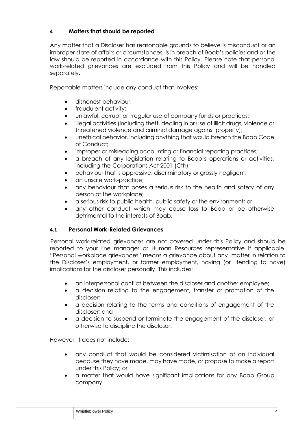#### <span id="page-3-0"></span>**4 Matters that should be reported**

Any matter that a Discloser has reasonable grounds to believe is misconduct or an improper state of affairs or circumstances, is in breach of Boab's policies and or the law should be reported in accordance with this Policy. Please note that personal work-related grievances are excluded from this Policy and will be handled separately.

Reportable matters include any conduct that involves:

- dishonest behaviour;
- fraudulent activity:
- unlawful, corrupt or irregular use of company funds or practices;
- illegal activities (including theft, dealing in or use of illicit drugs, violence or threatened violence and criminal damage against property);
- unethical behavior, including anything that would breach the Boab Code of Conduct;
- improper or misleading accounting or financial reporting practices;
- a breach of any legislation relating to Boab's operations or activities, including the Corporations Act 2001 (Cth);
- behaviour that is oppressive, discriminatory or grossly negligent;
- an unsafe work-practice;
- any behaviour that poses a serious risk to the health and safety of any person at the workplace;
- a serious risk to public health, public safety or the environment; or
- any other conduct which may cause loss to Boab or be otherwise detrimental to the interests of Boab.

#### **4.1 Personal Work-Related Grievances**

Personal work-related grievances are not covered under this Policy and should be reported to your line manager or Human Resources representative if applicable. "Personal workplace grievances" means a grievance about any matter in relation to the Discloser's employment, or former employment, having (or tending to have) implications for the discloser personally. This includes:

- an interpersonal conflict between the discloser and another employee;
- a decision relating to the engagement, transfer or promotion of the discloser;
- a decision relating to the terms and conditions of engagement of the discloser; and
- a decision to suspend or terminate the engagement of the discloser, or otherwise to discipline the discloser.

However, it does not include:

- any conduct that would be considered victimisation of an individual because they have made, may have made, or propose to make a report under this Policy; or
- a matter that would have significant implications for any Boab Group company.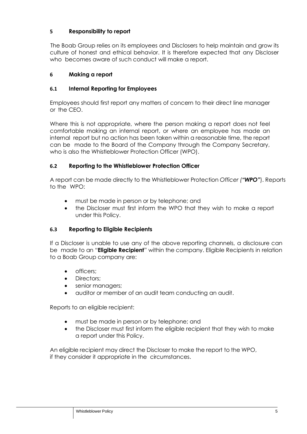#### <span id="page-4-0"></span>**5 Responsibility to report**

The Boab Group relies on its employees and Disclosers to help maintain and grow its culture of honest and ethical behavior. It is therefore expected that any Discloser who becomes aware of such conduct will make a report.

#### <span id="page-4-1"></span>**6 Making a report**

#### **6.1 Internal Reporting for Employees**

Employees should first report any matters of concern to their direct line manager or the CEO.

Where this is not appropriate, where the person making a report does not feel comfortable making an internal report, or where an employee has made an internal report but no action has been taken within a reasonable time, the report can be made to the Board of the Company through the Company Secretary, who is also the Whistleblower Protection Officer (WPO).

#### **6.2 Reporting to the Whistleblower Protection Officer**

A report can be made directly to the Whistleblower Protection *Officer ("WPO"*). Reports to the WPO:

- must be made in person or by telephone; and
- the Discloser must first inform the WPO that they wish to make a report under this Policy.

#### **6.3 Reporting to Eligible Recipients**

If a Discloser is unable to use any of the above reporting channels, a disclosure can be made to an "**Eligible Recipient**" within the company. Eligible Recipients in relation to a Boab Group company are:

- officers;
- Directors:
- senior managers;
- auditor or member of an audit team conducting an audit.

Reports to an eligible recipient:

- must be made in person or by telephone; and
- the Discloser must first inform the eligible recipient that they wish to make a report under this Policy.

An eligible recipient may direct the Discloser to make the report to the WPO, if they consider it appropriate in the circumstances.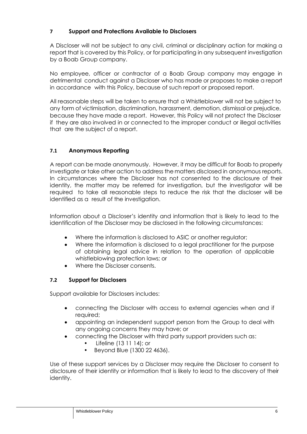#### <span id="page-5-0"></span>**7 Support and Protections Available to Disclosers**

A Discloser will not be subject to any civil, criminal or disciplinary action for making a report that is covered by this Policy, or for participating in any subsequent investigation by a Boab Group company.

No employee, officer or contractor of a Boab Group company may engage in detrimental conduct against a Discloser who has made or proposes to make a report in accordance with this Policy, because of such report or proposed report.

All reasonable steps will be taken to ensure that a Whistleblower will not be subject to any form of victimisation, discrimination, harassment, demotion, dismissal or prejudice, because they have made a report. However, this Policy will not protect the Discloser if they are also involved in or connected to the improper conduct or illegal activities that are the subject of a report.

#### **7.1 Anonymous Reporting**

A report can be made anonymously. However, it may be difficult for Boab to properly investigate or take other action to address the matters disclosed in anonymous reports. In circumstances where the Discloser has not consented to the disclosure of their identity, the matter may be referred for investigation, but the investigator will be required to take all reasonable steps to reduce the risk that the discloser will be identified as a result of the investigation.

Information about a Discloser's identity and information that is likely to lead to the identification of the Discloser may be disclosed in the following circumstances:

- Where the information is disclosed to ASIC or another regulator;
- Where the information is disclosed to a legal practitioner for the purpose of obtaining legal advice in relation to the operation of applicable whistleblowing protection laws; or
- Where the Discloser consents.

#### **7.2 Support for Disclosers**

Support available for Disclosers includes:

- connecting the Discloser with access to external agencies when and if required;
- appointing an independent support person from the Group to deal with any ongoing concerns they may have; or
- connecting the Discloser with third party support providers such as:
	- Lifeline (13 11 14); or
	- Beyond Blue (1300 22 4636).

Use of these support services by a Discloser may require the Discloser to consent to disclosure of their identity or information that is likely to lead to the discovery of their identity.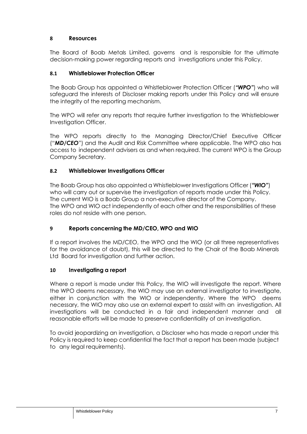#### <span id="page-6-0"></span>**8 Resources**

The Board of Boab Metals Limited, governs and is responsible for the ultimate decision-making power regarding reports and investigations under this Policy.

#### **8.1 Whistleblower Protection Officer**

The Boab Group has appointed a Whistleblower Protection Officer (*"WPO"*) who will safeguard the interests of Discloser making reports under this Policy and will ensure the integrity of the reporting mechanism.

The WPO will refer any reports that require further investigation to the Whistleblower Investigation Officer.

The WPO reports directly to the Managing Director/Chief Executive Officer ("*MD/CEO*") and the Audit and Risk Committee where applicable. The WPO also has access to independent advisers as and when required. The current WPO is the Group Company Secretary.

#### **8.2 Whistleblower Investigations Officer**

The Boab Group has also appointed a Whistleblower Investigations Officer (*"WIO"*) who will carry out or supervise the investigation of reports made under this Policy. The current WIO is a Boab Group a non-executive director of the Company. The WPO and WIO act independently of each other and the responsibilities of these roles do not reside with one person.

#### <span id="page-6-1"></span>**9 Reports concerning the MD/CEO, WPO and WIO**

If a report involves the MD/CEO, the WPO and the WIO (or all three representatives for the avoidance of doubt), this will be directed to the Chair of the Boab Minerals Ltd Board for investigation and further action.

#### <span id="page-6-2"></span>**10 Investigating a report**

Where a report is made under this Policy, the WIO will investigate the report. Where the WPO deems necessary, the WIO may use an external investigator to investigate, either in conjunction with the WIO or independently. Where the WPO deems necessary, the WIO may also use an external expert to assist with an investigation. All investigations will be conducted in a fair and independent manner and all reasonable efforts will be made to preserve confidentiality of an investigation.

To avoid jeopardizing an investigation, a Discloser who has made a report under this Policy is required to keep confidential the fact that a report has been made (subject to any legal requirements).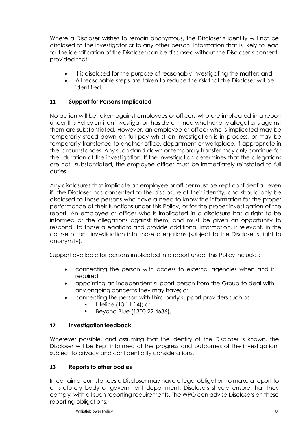Where a Discloser wishes to remain anonymous, the Discloser's identity will not be disclosed to the investigator or to any other person. Information that is likely to lead to the identification of the Discloser can be disclosed without the Discloser's consent, provided that:

- It is disclosed for the purpose of reasonably investigating the matter; and
- All reasonable steps are taken to reduce the risk that the Discloser will be identified.

#### <span id="page-7-0"></span>**11 Support for Persons Implicated**

No action will be taken against employees or officers who are implicated in a report under this Policy until an investigation has determined whether any allegations against them are substantiated. However, an employee or officer who is implicated may be temporarily stood down on full pay whilst an investigation is in process, or may be temporarily transferred to another office, department or workplace, if appropriate in the circumstances. Any such stand-down or temporary transfer may only continue for the duration of the investigation. If the investigation determines that the allegations are not substantiated, the employee officer must be immediately reinstated to full duties.

Any disclosures that implicate an employee or officer must be kept confidential, even if the Discloser has consented to the disclosure of their identity, and should only be disclosed to those persons who have a need to know the information for the proper performance of their functions under this Policy, or for the proper investigation of the report. An employee or officer who is implicated in a disclosure has a right to be informed of the allegations against them, and must be given an opportunity to respond to those allegations and provide additional information, if relevant, in the course of an investigation into those allegations (subject to the Discloser's right to anonymity).

Support available for persons implicated in a report under this Policy includes:

- connecting the person with access to external agencies when and if required;
- appointing an independent support person from the Group to deal with any ongoing concerns they may have; or
	- connecting the person with third party support providers such as
		- Lifeline (13 11 14); or
		- Beyond Blue (1300 22 4636).

#### <span id="page-7-1"></span>**12 Investigation feedback**

Wherever possible, and assuming that the identity of the Discloser is known, the Discloser will be kept informed of the progress and outcomes of the investigation, subject to privacy and confidentiality considerations.

#### <span id="page-7-2"></span>**13 Reports to other bodies**

In certain circumstances a Discloser may have a legal obligation to make a report to a statutory body or government department. Disclosers should ensure that they comply with all such reporting requirements. The WPO can advise Disclosers on these reporting obligations.